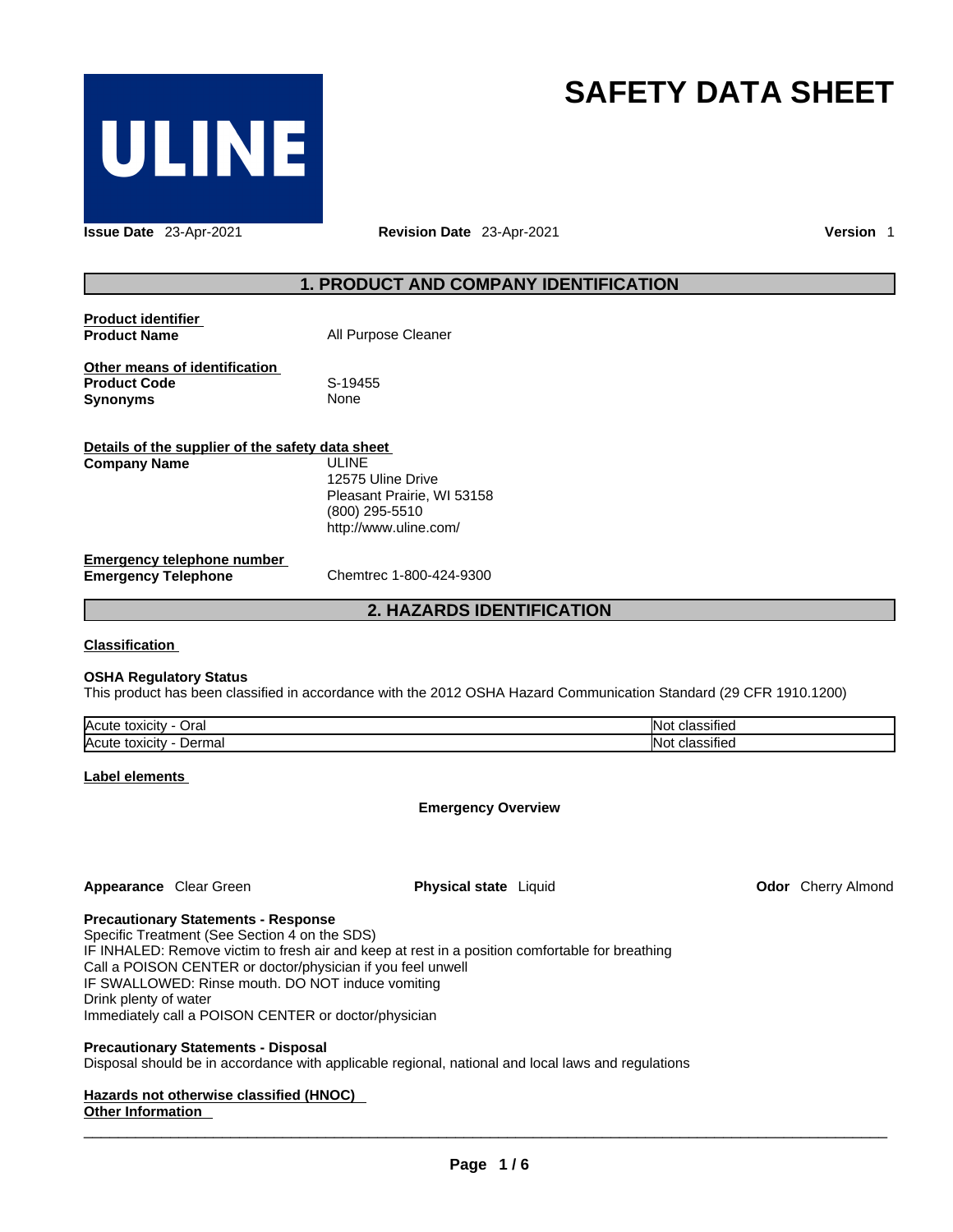

# **SAFETY DATA SHEET**

**Issue Date** 23-Apr-2021 **Revision Date** 23-Apr-2021 **Version** 1

## **1. PRODUCT AND COMPANY IDENTIFICATION**

| <b>Product identifier</b> |                     |
|---------------------------|---------------------|
| <b>Product Name</b>       | All Purpose Cleaner |

**Other means of identification**<br>**Product Code** S-19455 **Product Code** S-19455 **Synonyms** 

| Details of the supplier of the safety data sheet |                            |  |  |  |
|--------------------------------------------------|----------------------------|--|--|--|
| <b>Company Name</b>                              | ULINE.                     |  |  |  |
|                                                  | 12575 Uline Drive          |  |  |  |
|                                                  | Pleasant Prairie, WI 53158 |  |  |  |
|                                                  | (800) 295-5510             |  |  |  |
|                                                  | http://www.uline.com/      |  |  |  |
| <b>Emergency telephone number</b>                |                            |  |  |  |
| <b>Emergency Telephone</b>                       | Chemtrec 1-800-424-9300    |  |  |  |

**2. HAZARDS IDENTIFICATION** 

## **Classification**

## **OSHA Regulatory Status**

This product has been classified in accordance with the 2012 OSHA Hazard Communication Standard (29 CFR 1910.1200)

| <b>Acute</b><br>⊃ral<br>toxicity         | $\cdots$<br>INc<br>sinec<br>- ا    |
|------------------------------------------|------------------------------------|
| Acute<br>\∆rma<br>toxicity<br>mai<br>JET | $\cdots$<br>IN٢<br>⇒ร⊞∈⊾<br>$\sim$ |

## **Label elements**

**Emergency Overview** 

**Appearance** Clear Green **Physical state** Liquid

**Odor** Cherry Almond

## **Precautionary Statements - Response**

Specific Treatment (See Section 4 on the SDS) IF INHALED: Remove victim to fresh air and keep at rest in a position comfortable for breathing Call a POISON CENTER or doctor/physician if you feel unwell IF SWALLOWED: Rinse mouth. DO NOT induce vomiting Drink plenty of water Immediately call a POISON CENTER or doctor/physician

## **Precautionary Statements - Disposal**

Disposal should be in accordance with applicable regional, national and local laws and regulations

## **Hazards not otherwise classified (HNOC)**

## **Other Information**   $\_$  ,  $\_$  ,  $\_$  ,  $\_$  ,  $\_$  ,  $\_$  ,  $\_$  ,  $\_$  ,  $\_$  ,  $\_$  ,  $\_$  ,  $\_$  ,  $\_$  ,  $\_$  ,  $\_$  ,  $\_$  ,  $\_$  ,  $\_$  ,  $\_$  ,  $\_$  ,  $\_$  ,  $\_$  ,  $\_$  ,  $\_$  ,  $\_$  ,  $\_$  ,  $\_$  ,  $\_$  ,  $\_$  ,  $\_$  ,  $\_$  ,  $\_$  ,  $\_$  ,  $\_$  ,  $\_$  ,  $\_$  ,  $\_$  ,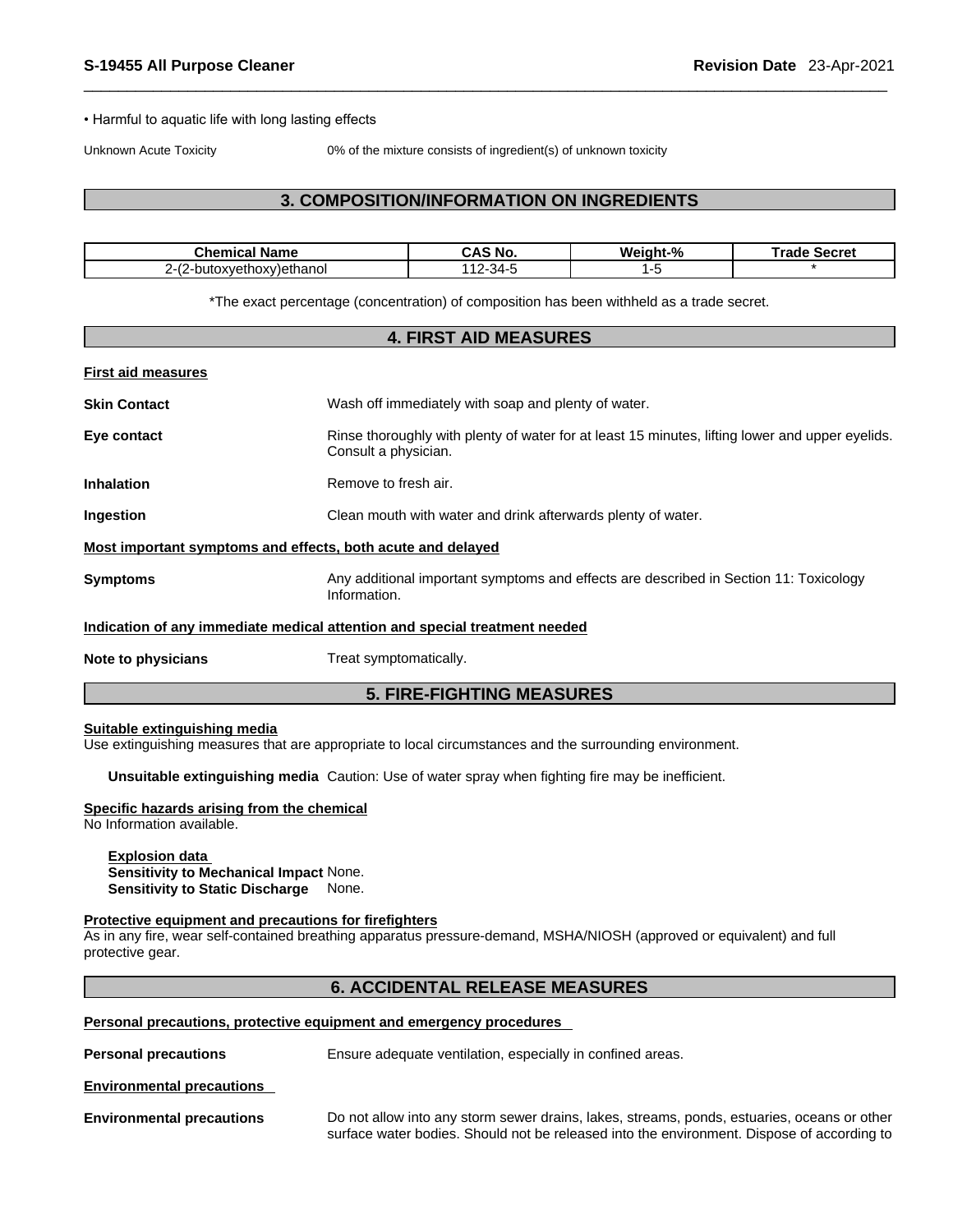### • Harmful to aquatic life with long lasting effects

Unknown Acute Toxicity 0% of the mixture consists of ingredient(s) of unknown toxicity

## **3. COMPOSITION/INFORMATION ON INGREDIENTS**

| Chemical<br><b>Name</b>                                                | `S No.<br>. И<br><u>unu</u> | Weiaht-% | <b>Trade</b><br>Secret |
|------------------------------------------------------------------------|-----------------------------|----------|------------------------|
| $\sim$<br>v)ethanol<br>$ -$<br>.iOXV<br>∡ve*<br>π<br>,<br>-มนเบิง<br>- | 34-<br>- ت<br>$\cdot$       |          |                        |

\*The exact percentage (concentration) of composition has been withheld as a trade secret.

| <b>4. FIRST AID MEASURES</b>                                              |                                                                                                                         |  |  |
|---------------------------------------------------------------------------|-------------------------------------------------------------------------------------------------------------------------|--|--|
| <b>First aid measures</b>                                                 |                                                                                                                         |  |  |
| <b>Skin Contact</b>                                                       | Wash off immediately with soap and plenty of water.                                                                     |  |  |
| Eye contact                                                               | Rinse thoroughly with plenty of water for at least 15 minutes, lifting lower and upper eyelids.<br>Consult a physician. |  |  |
| <b>Inhalation</b>                                                         | Remove to fresh air.                                                                                                    |  |  |
| Clean mouth with water and drink afterwards plenty of water.<br>Ingestion |                                                                                                                         |  |  |
|                                                                           | Most important symptoms and effects, both acute and delayed                                                             |  |  |
| <b>Symptoms</b>                                                           | Any additional important symptoms and effects are described in Section 11: Toxicology<br>Information.                   |  |  |
|                                                                           | Indication of any immediate medical attention and special treatment needed                                              |  |  |
| Note to physicians                                                        | Treat symptomatically.                                                                                                  |  |  |
|                                                                           | <b>5. FIRE-FIGHTING MEASURES</b>                                                                                        |  |  |

### **Suitable extinguishing media**

Use extinguishing measures that are appropriate to local circumstances and the surrounding environment.

**Unsuitable extinguishing media** Caution: Use of water spray when fighting fire may be inefficient.

## **Specific hazards arising from the chemical**

No Information available.

## **Explosion data**

**Sensitivity to Mechanical Impact** None. **Sensitivity to Static Discharge** None.

### **Protective equipment and precautions for firefighters**

As in any fire, wear self-contained breathing apparatus pressure-demand, MSHA/NIOSH (approved or equivalent) and full protective gear.

## **6. ACCIDENTAL RELEASE MEASURES**

**Personal precautions, protective equipment and emergency procedures**

**Personal precautions** Ensure adequate ventilation, especially in confined areas.

### **Environmental precautions**

**Environmental precautions** Do not allow into any storm sewer drains, lakes, streams, ponds, estuaries, oceans or other surface water bodies. Should not be released into the environment. Dispose of according to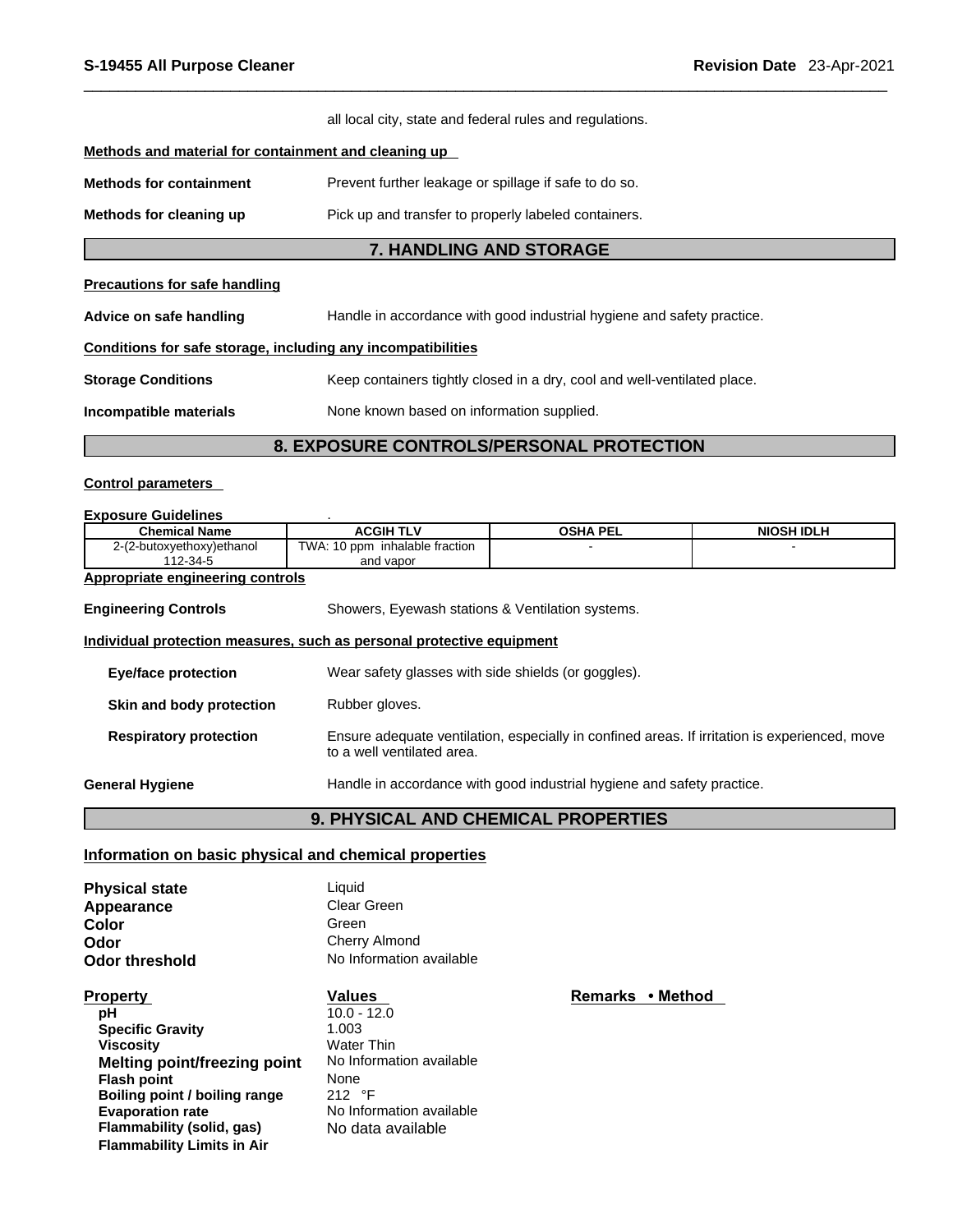|                                                              | all local city, state and federal rules and regulations.                 |  |  |  |
|--------------------------------------------------------------|--------------------------------------------------------------------------|--|--|--|
| Methods and material for containment and cleaning up         |                                                                          |  |  |  |
| <b>Methods for containment</b>                               | Prevent further leakage or spillage if safe to do so.                    |  |  |  |
| Methods for cleaning up                                      | Pick up and transfer to properly labeled containers.                     |  |  |  |
|                                                              | <b>7. HANDLING AND STORAGE</b>                                           |  |  |  |
| <b>Precautions for safe handling</b>                         |                                                                          |  |  |  |
| Advice on safe handling                                      | Handle in accordance with good industrial hygiene and safety practice.   |  |  |  |
| Conditions for safe storage, including any incompatibilities |                                                                          |  |  |  |
| <b>Storage Conditions</b>                                    | Keep containers tightly closed in a dry, cool and well-ventilated place. |  |  |  |
| Incompatible materials                                       | None known based on information supplied.                                |  |  |  |

## **8. EXPOSURE CONTROLS/PERSONAL PROTECTION**

## **Control parameters**

## **Exposure Guidelines** .

| <b>Chemical Name</b>                    | <b>ACGIH TLV</b>                                                      | <b>OSHA PEL</b>                                                        | <b>NIOSH IDLH</b>                                                                             |
|-----------------------------------------|-----------------------------------------------------------------------|------------------------------------------------------------------------|-----------------------------------------------------------------------------------------------|
| 2-(2-butoxyethoxy)ethanol               | TWA: 10 ppm inhalable fraction                                        |                                                                        |                                                                                               |
| 112-34-5                                | and vapor                                                             |                                                                        |                                                                                               |
| <b>Appropriate engineering controls</b> |                                                                       |                                                                        |                                                                                               |
| <b>Engineering Controls</b>             | Showers, Eyewash stations & Ventilation systems.                      |                                                                        |                                                                                               |
|                                         | Individual protection measures, such as personal protective equipment |                                                                        |                                                                                               |
| <b>Eye/face protection</b>              | Wear safety glasses with side shields (or goggles).                   |                                                                        |                                                                                               |
| Skin and body protection                | Rubber gloves.                                                        |                                                                        |                                                                                               |
| <b>Respiratory protection</b>           | to a well ventilated area.                                            |                                                                        | Ensure adequate ventilation, especially in confined areas. If irritation is experienced, move |
| <b>General Hygiene</b>                  |                                                                       | Handle in accordance with good industrial hygiene and safety practice. |                                                                                               |
|                                         | <b>9. PHYSICAL AND CHEMICAL PROPERTIES</b>                            |                                                                        |                                                                                               |

## **Information on basic physical and chemical properties**

| <b>Physical state</b> | Liauid                   |
|-----------------------|--------------------------|
| Appearance            | Clear Green              |
| Color                 | Green                    |
| Odor                  | Cherry Almond            |
| <b>Odor threshold</b> | No Information available |

| <b>Property</b>                   | <b>Values</b>            | Remarks • Method |
|-----------------------------------|--------------------------|------------------|
| рH                                | $10.0 - 12.0$            |                  |
| <b>Specific Gravity</b>           | 1.003                    |                  |
| <b>Viscosity</b>                  | Water Thin               |                  |
| Melting point/freezing point      | No Information available |                  |
| <b>Flash point</b>                | None                     |                  |
| Boiling point / boiling range     | $212$ °F                 |                  |
| <b>Evaporation rate</b>           | No Information available |                  |
| Flammability (solid, gas)         | No data available        |                  |
| <b>Flammability Limits in Air</b> |                          |                  |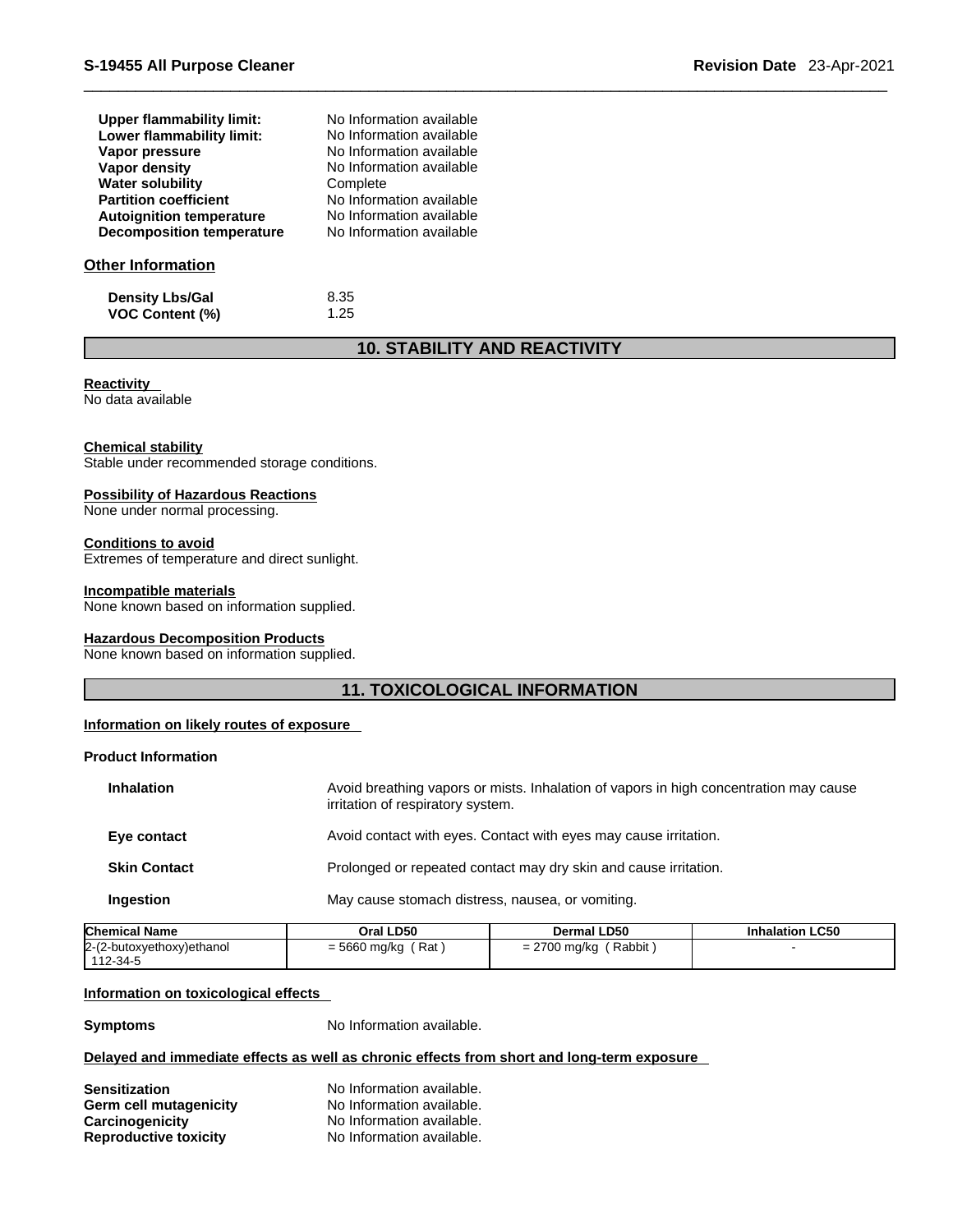| Upper flammability limit:        | No Information available |
|----------------------------------|--------------------------|
| Lower flammability limit:        | No Information available |
| Vapor pressure                   | No Information available |
| Vapor density                    | No Information available |
| <b>Water solubility</b>          | Complete                 |
| <b>Partition coefficient</b>     | No Information available |
| <b>Autoignition temperature</b>  | No Information available |
| <b>Decomposition temperature</b> | No Information available |
| Other Information                |                          |
| .                                |                          |

**Density Lbs/Gal** 8.35<br> **VOC Content (%)** 1.25 **VOC** Content (%)

## **10. STABILITY AND REACTIVITY**

## **Reactivity**

No data available

## **Chemical stability**

Stable under recommended storage conditions.

## **Possibility of Hazardous Reactions**

None under normal processing.

## **Conditions to avoid**

Extremes of temperature and direct sunlight.

## **Incompatible materials**

None known based on information supplied.

## **Hazardous Decomposition Products**

None known based on information supplied.

## **11. TOXICOLOGICAL INFORMATION**

## **Information on likely routes of exposure**

## **Product Information**

| <b>Inhalation</b>   | Avoid breathing vapors or mists. Inhalation of vapors in high concentration may cause<br>irritation of respiratory system. |
|---------------------|----------------------------------------------------------------------------------------------------------------------------|
| Eye contact         | Avoid contact with eyes. Contact with eyes may cause irritation.                                                           |
| <b>Skin Contact</b> | Prolonged or repeated contact may dry skin and cause irritation.                                                           |
| <b>Ingestion</b>    | May cause stomach distress, nausea, or vomiting.                                                                           |
|                     |                                                                                                                            |

| <b>Chemical Name</b>        | Oral LD50           | <b>Dermal LD50</b>     | <b>Inhalation LC50</b> |
|-----------------------------|---------------------|------------------------|------------------------|
| $2-(2-butoxyethoxy)ethanol$ | Rat<br>= 5660 mg/kg | Rabbit<br>= 2700 mg/kg |                        |
| 112-34-5                    |                     |                        |                        |

## **Information on toxicological effects**

**Symptoms** No Information available.

## **Delayed and immediate effects as well as chronic effects from short and long-term exposure**

| <b>Sensitization</b>         | No Information available. |
|------------------------------|---------------------------|
| Germ cell mutagenicity       | No Information available. |
| Carcinogenicity              | No Information available. |
| <b>Reproductive toxicity</b> | No Information available. |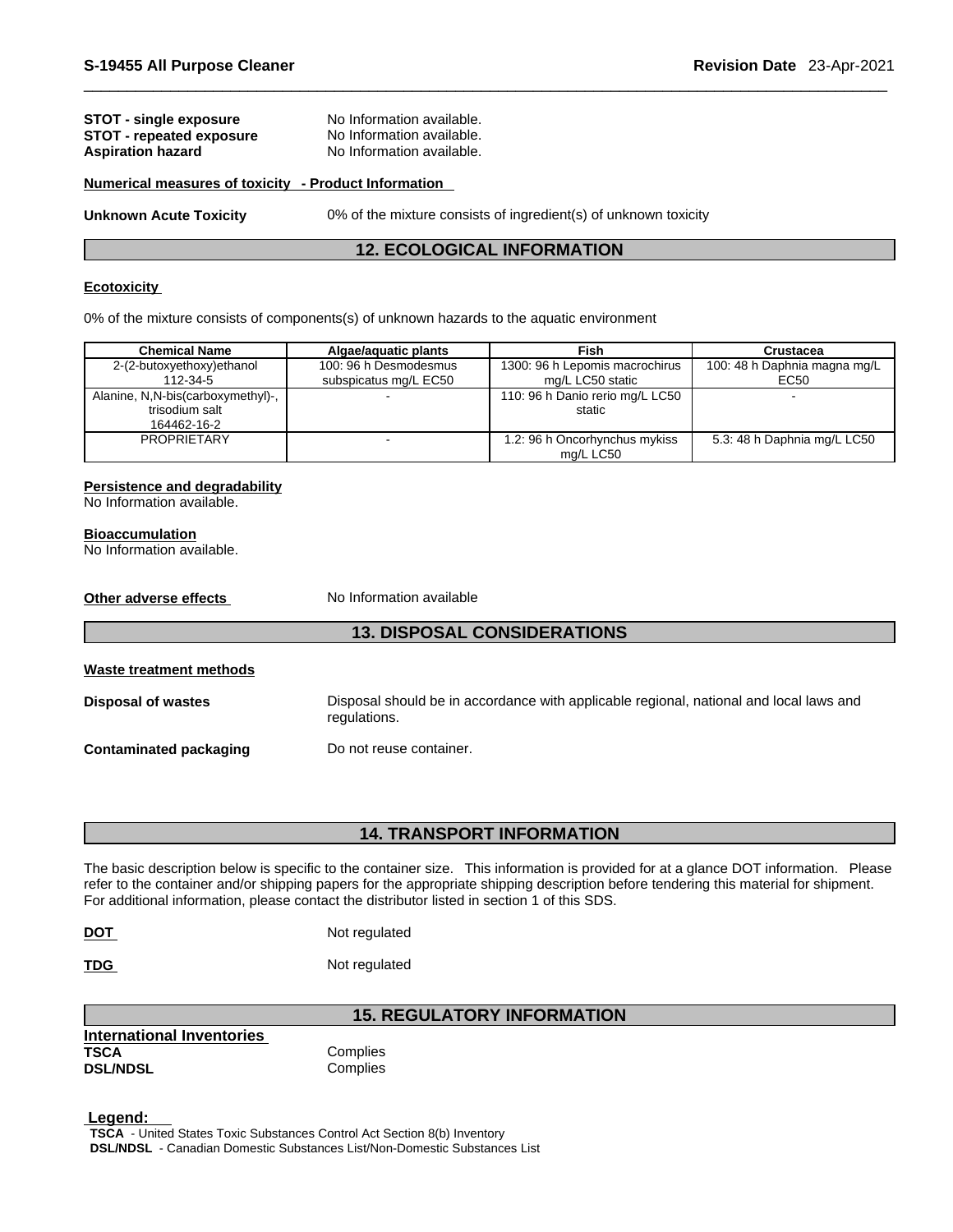## **STOT** - single exposure No Information available. **STOT** - **repeated exposure** No Information available. **Aspiration hazard** No Information available.

### **Numerical measures of toxicity - Product Information**

**Unknown Acute Toxicity** 0% of the mixture consists of ingredient(s) of unknown toxicity

## **12. ECOLOGICAL INFORMATION**

## **Ecotoxicity**

0% of the mixture consists of components(s) of unknown hazards to the aquatic environment

| <b>Chemical Name</b>                                               | Algae/aguatic plants                           | Fish                                               | Crustacea                            |
|--------------------------------------------------------------------|------------------------------------------------|----------------------------------------------------|--------------------------------------|
| 2-(2-butoxyethoxy)ethanol<br>112-34-5                              | 100: 96 h Desmodesmus<br>subspicatus mg/L EC50 | 1300: 96 h Lepomis macrochirus<br>mg/L LC50 static | 100: 48 h Daphnia magna mg/L<br>EC50 |
| Alanine, N,N-bis(carboxymethyl)-,<br>trisodium salt<br>164462-16-2 |                                                | 110: 96 h Danio rerio mg/L LC50<br>static          |                                      |
| <b>PROPRIETARY</b>                                                 |                                                | 1.2: 96 h Oncorhynchus mykiss<br>mg/L LC50         | 5.3: 48 h Daphnia mg/L LC50          |

## **Persistence and degradability**

No Information available.

## **Bioaccumulation**

| No Information available.     |                                                                                                        |
|-------------------------------|--------------------------------------------------------------------------------------------------------|
| Other adverse effects         | No Information available                                                                               |
|                               | <b>13. DISPOSAL CONSIDERATIONS</b>                                                                     |
| Waste treatment methods       |                                                                                                        |
| <b>Disposal of wastes</b>     | Disposal should be in accordance with applicable regional, national and local laws and<br>regulations. |
| <b>Contaminated packaging</b> | Do not reuse container.                                                                                |
|                               |                                                                                                        |

## **14. TRANSPORT INFORMATION**

The basic description below is specific to the container size. This information is provided for at a glance DOT information. Please refer to the container and/or shipping papers for the appropriate shipping description before tendering this material for shipment. For additional information, please contact the distributor listed in section 1 of this SDS.

| <b>DOT</b> | Not regulated |
|------------|---------------|
|            |               |

**TDG** Not regulated

## **15. REGULATORY INFORMATION**

| International Inventories |          |
|---------------------------|----------|
| <b>TSCA</b>               | Complies |
| <b>DSL/NDSL</b>           | Complies |

 **Legend: TSCA** - United States Toxic Substances Control Act Section 8(b) Inventory **DSL/NDSL** - Canadian Domestic Substances List/Non-Domestic Substances List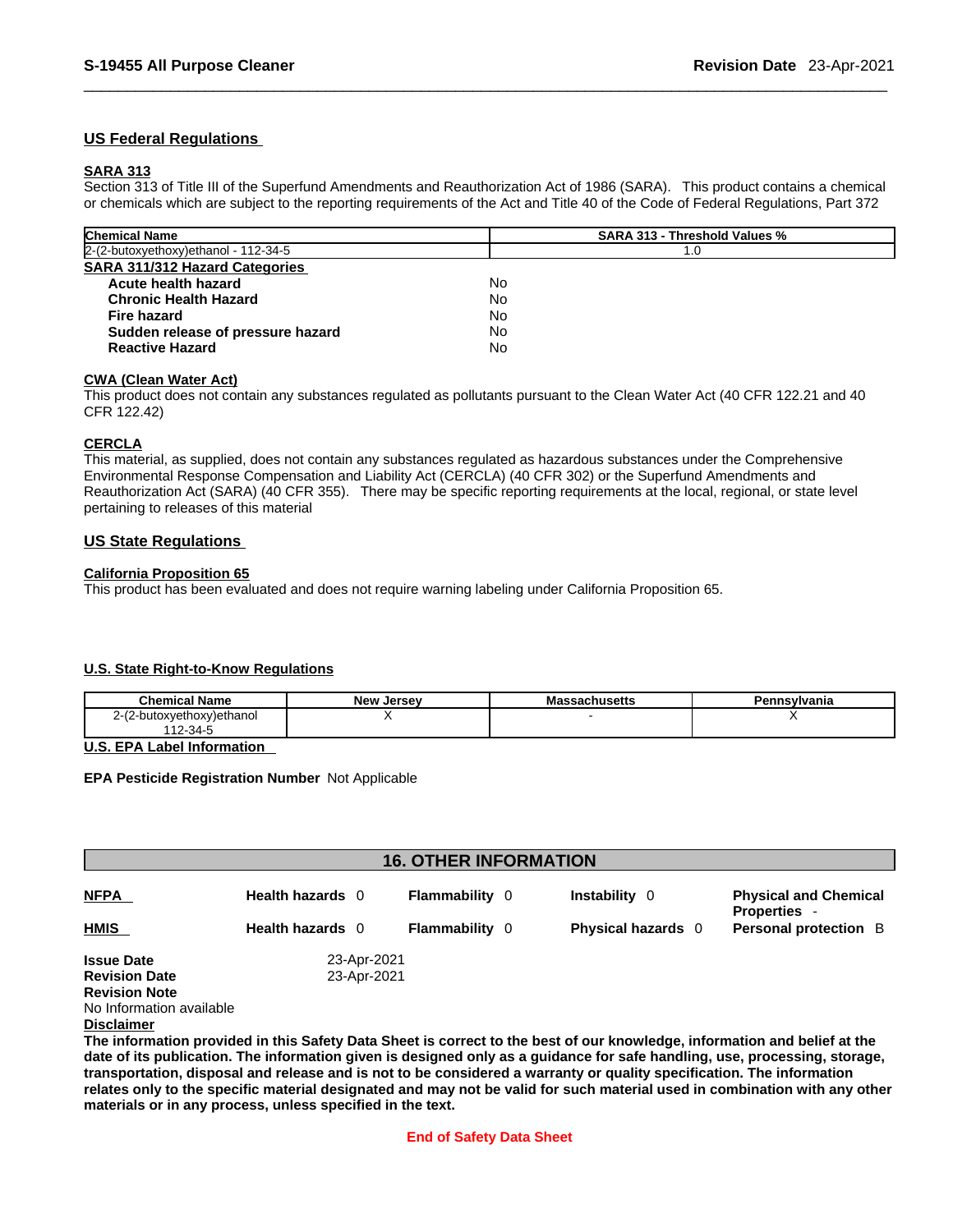## **US Federal Regulations**

## **SARA 313**

Section 313 of Title III of the Superfund Amendments and Reauthorization Act of 1986 (SARA). This product contains a chemical or chemicals which are subject to the reporting requirements of the Act and Title 40 of the Code of Federal Regulations, Part 372

| <b>Chemical Name</b>                   | <b>SARA 313 - Threshold Values %</b> |
|----------------------------------------|--------------------------------------|
| $2-(2-butoxyethoxy)ethanol - 112-34-5$ | 1.0                                  |
| SARA 311/312 Hazard Categories         |                                      |
| Acute health hazard                    | No                                   |
| <b>Chronic Health Hazard</b>           | No                                   |
| Fire hazard                            | No                                   |
| Sudden release of pressure hazard      | No                                   |
| <b>Reactive Hazard</b>                 | No                                   |

## **CWA (Clean WaterAct)**

This product does not contain any substances regulated as pollutants pursuant to the Clean Water Act (40 CFR 122.21 and 40 CFR 122.42)

## **CERCLA**

This material, as supplied, does not contain any substances regulated as hazardous substances under the Comprehensive Environmental Response Compensation and Liability Act (CERCLA) (40 CFR 302) or the Superfund Amendments and Reauthorization Act (SARA) (40 CFR 355). There may be specific reporting requirements at the local, regional, or state level pertaining to releases of this material

## **US State Regulations**

## **California Proposition 65**

This product has been evaluated and does not require warning labeling under California Proposition 65.

## **U.S. State Right-to-Know Regulations**

| .<br>$\cap$ hemical.<br>Name  | New<br>. Jersev | nuseus | ∵vIvania |
|-------------------------------|-----------------|--------|----------|
| !-butoxyethoxy)ethanol<br>، - |                 |        |          |
| <sup>-</sup> 12-34 ພ          |                 |        |          |

**U.S. EPA Label Information** 

**EPA Pesticide Registration Number** Not Applicable

|                      |                  | <b>16. OTHER INFORMATION</b> |                           |                                                   |
|----------------------|------------------|------------------------------|---------------------------|---------------------------------------------------|
| <b>NFPA</b>          | Health hazards 0 | <b>Flammability</b> 0        | Instability 0             | <b>Physical and Chemical</b><br><b>Properties</b> |
| HMIS                 | Health hazards 0 | <b>Flammability</b> 0        | <b>Physical hazards</b> 0 | <b>Personal protection</b> B                      |
| <b>Issue Date</b>    | 23-Apr-2021      |                              |                           |                                                   |
| <b>Revision Date</b> | 23-Apr-2021      |                              |                           |                                                   |
| <b>Revision Note</b> |                  |                              |                           |                                                   |
|                      |                  |                              |                           |                                                   |

No Information available

### **Disclaimer**

The information provided in this Safety Data Sheet is correct to the best of our knowledge, information and belief at the date of its publication. The information given is designed only as a guidance for safe handling, use, processing, storage, transportation, disposal and release and is not to be considered a warranty or quality specification. The information relates only to the specific material designated and may not be valid for such material used in combination with any other **materials or in any process,unless specified in the text.**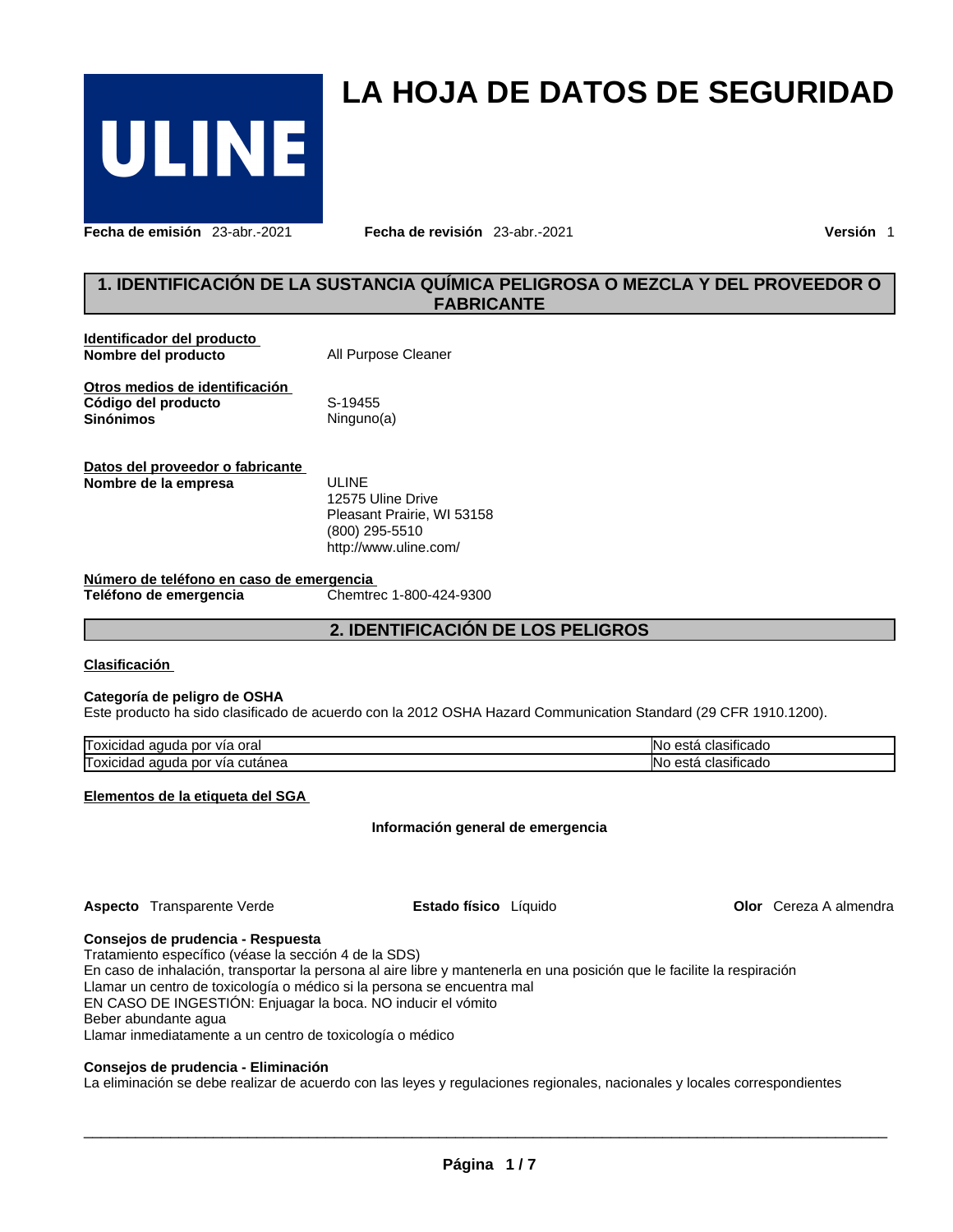

**Fecha de emisión** 23-abr.-2021 **Fecha de revisión** 23-abr.-2021 **Versión** 1

## **1. IDENTIFICACIÓN DE LA SUSTANCIA QUÍMICA PELIGROSA O MEZCLA Y DEL PROVEEDOR O FABRICANTE**

**LA HOJA DE DATOS DE SEGURIDAD** 

| Identificador del producto<br>Nombre del producto                         | All Purpose Cleaner        |
|---------------------------------------------------------------------------|----------------------------|
| Otros medios de identificación<br>Código del producto<br><b>Sinónimos</b> | S-19455<br>Ninguno(a)      |
| Datos del proveedor o fabricante<br>Nombre de la empresa                  | ULINE<br>12575 Uline Drive |

Pleasant Prairie, WI 53158 (800) 295-5510 http://www.uline.com/

**Número de teléfono en caso de emergencia Teléfono de emergencia** 

**2. IDENTIFICACIÓN DE LOS PELIGROS**

## **Clasificación**

## **Categoría de peligro de OSHA**

Este producto ha sido clasificado de acuerdo con la 2012 OSHA Hazard Communication Standard (29 CFR 1910.1200).

| _<br>ora<br>nor<br>'I oxicidau<br>VIŁ<br>uda<br>au       | $\cdot$<br>∩lasificado<br>$\sim$<br>INC.<br>ნაი                     |
|----------------------------------------------------------|---------------------------------------------------------------------|
| –<br>nor<br>'I oxicidau<br>cutanea<br>. VIc<br>uda<br>au | $\cdots$<br>lasificado<br>$\sim$ $\sim$ $\sim$ $\sim$<br>INC<br>ნად |

**Elementos de la etiqueta del SGA**

**Información general de emergencia**

**Aspecto** Transparente Verde **Estado físico** Líquido

**Olor** Cereza A almendra

### **Consejos de prudencia - Respuesta**

Tratamiento específico (véase la sección 4 de la SDS) En caso de inhalación, transportar la persona al aire libre y mantenerla en una posición que le facilite la respiración Llamar un centro de toxicología o médico si la persona se encuentra mal EN CASO DE INGESTIÓN: Enjuagar la boca. NO inducir el vómito Beber abundante agua Llamar inmediatamente a un centro de toxicología o médico

### **Consejos de prudencia - Eliminación**

La eliminación se debe realizar de acuerdo con las leyes y regulaciones regionales, nacionales y locales correspondientes

 $\_$  ,  $\_$  ,  $\_$  ,  $\_$  ,  $\_$  ,  $\_$  ,  $\_$  ,  $\_$  ,  $\_$  ,  $\_$  ,  $\_$  ,  $\_$  ,  $\_$  ,  $\_$  ,  $\_$  ,  $\_$  ,  $\_$  ,  $\_$  ,  $\_$  ,  $\_$  ,  $\_$  ,  $\_$  ,  $\_$  ,  $\_$  ,  $\_$  ,  $\_$  ,  $\_$  ,  $\_$  ,  $\_$  ,  $\_$  ,  $\_$  ,  $\_$  ,  $\_$  ,  $\_$  ,  $\_$  ,  $\_$  ,  $\_$  ,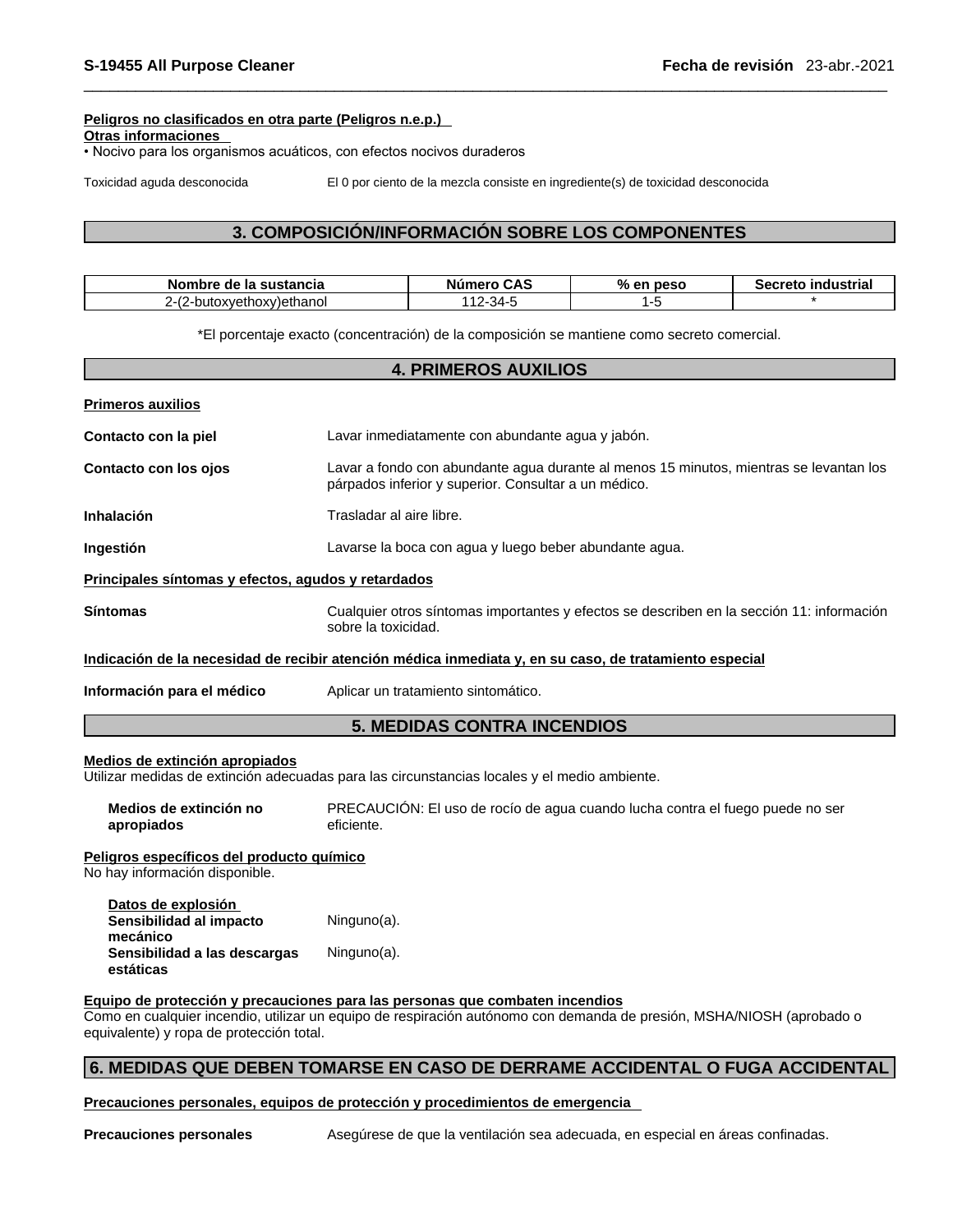## **Peligros no clasificados en otra parte (Peligros n.e.p.)**

**Otras informaciones** 

• Nocivo para los organismos acuáticos, con efectos nocivos duraderos

Toxicidad aguda desconocida El 0 por ciento de la mezcla consiste en ingrediente(s) de toxicidad desconocida

## **3. COMPOSICIÓN/INFORMACIÓN SOBRE LOS COMPONENTES**

| Nombre de la sustancia                           | <b>CAS</b><br>Numero                         | $\Omega$<br>en peso | `ecreto<br>industrial<br>-36. |
|--------------------------------------------------|----------------------------------------------|---------------------|-------------------------------|
| oethanol<br>$1 + 2$<br><b>DUIOX</b><br>wetnoxvie | $\overline{\phantom{a}}$<br>*-34∸ ، ،<br>- L |                     |                               |

\*El porcentaje exacto (concentración) de la composición se mantiene como secreto comercial.

## **4. PRIMEROS AUXILIOS**

| <b>Primeros auxilios</b>                            |                                                                                                                                                |
|-----------------------------------------------------|------------------------------------------------------------------------------------------------------------------------------------------------|
| Contacto con la piel                                | Lavar inmediatamente con abundante agua y jabón.                                                                                               |
| Contacto con los ojos                               | Lavar a fondo con abundante agua durante al menos 15 minutos, mientras se levantan los<br>párpados inferior y superior. Consultar a un médico. |
| <b>Inhalación</b>                                   | Trasladar al aire libre.                                                                                                                       |
| Ingestión                                           | Lavarse la boca con agua y luego beber abundante agua.                                                                                         |
| Principales síntomas y efectos, agudos y retardados |                                                                                                                                                |
| <b>Síntomas</b>                                     | Cualquier otros síntomas importantes y efectos se describen en la sección 11: información<br>sobre la toxicidad.                               |
|                                                     | Indicación de la necesidad de recibir atención médica inmediata y, en su caso, de tratamiento especial                                         |
| Información para el médico                          | Aplicar un tratamiento sintomático.                                                                                                            |

## **5. MEDIDAS CONTRA INCENDIOS**

## **Medios de extinción apropiados**

Utilizar medidas de extinción adecuadas para las circunstancias locales y el medio ambiente.

| Medios de extinción no | PRECAUCIÓN: El uso de rocío de agua cuando lucha contra el fuego puede no ser |
|------------------------|-------------------------------------------------------------------------------|
| apropiados             | eficiente.                                                                    |

### **Peligros específicos del producto químico**

No hay información disponible.

| Datos de explosión           |             |
|------------------------------|-------------|
| Sensibilidad al impacto      | Ninguno(a). |
| mecánico                     |             |
| Sensibilidad a las descargas | Ninguno(a). |
| estáticas                    |             |

## **Equipo de protección y precauciones para las personas que combaten incendios**

Como en cualquier incendio, utilizar un equipo de respiración autónomo con demanda de presión, MSHA/NIOSH (aprobado o equivalente) y ropa de protección total.

## **6. MEDIDAS QUE DEBEN TOMARSE EN CASO DE DERRAME ACCIDENTAL O FUGA ACCIDENTAL**

**Precauciones personales, equipos de protección y procedimientos de emergencia**

**Precauciones personales** Asegúrese de que la ventilación sea adecuada, en especial en áreas confinadas.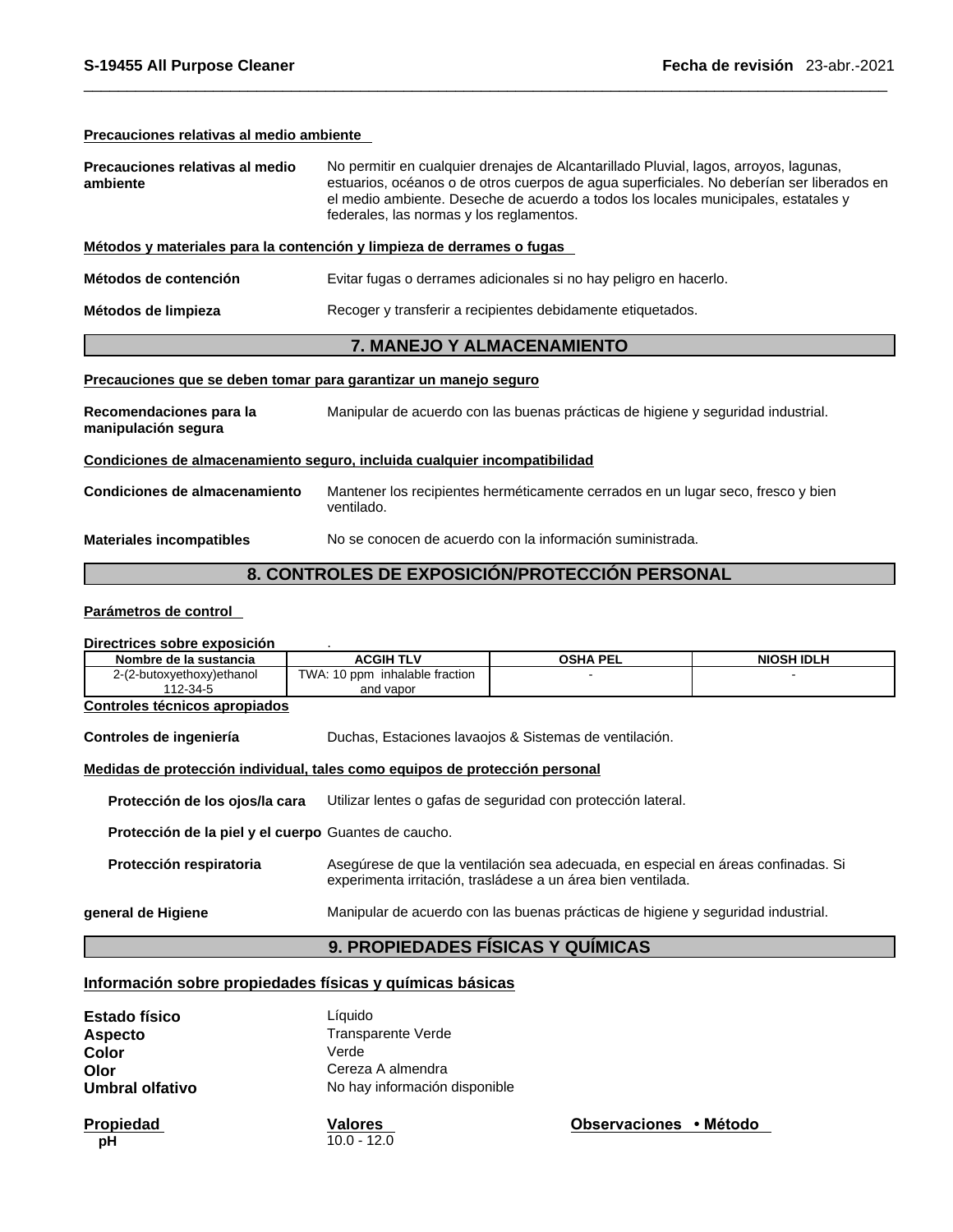## **Precauciones relativas al medio ambiente**

| No permitir en cualquier drenajes de Alcantarillado Pluvial, lagos, arroyos, lagunas,<br>estuarios, océanos o de otros cuerpos de agua superficiales. No deberían ser liberados en<br>el medio ambiente. Deseche de acuerdo a todos los locales municipales, estatales y<br>federales, las normas y los reglamentos. |  |  |
|----------------------------------------------------------------------------------------------------------------------------------------------------------------------------------------------------------------------------------------------------------------------------------------------------------------------|--|--|
| Métodos y materiales para la contención y limpieza de derrames o fugas                                                                                                                                                                                                                                               |  |  |
| Evitar fugas o derrames adicionales si no hay peligro en hacerlo.                                                                                                                                                                                                                                                    |  |  |
| Métodos de limpieza<br>Recoger y transferir a recipientes debidamente etiquetados.                                                                                                                                                                                                                                   |  |  |
| 7. MANEJO Y ALMACENAMIENTO                                                                                                                                                                                                                                                                                           |  |  |
|                                                                                                                                                                                                                                                                                                                      |  |  |

## **Precauciones que se deben tomar para garantizar un manejo seguro**

| Recomendaciones para la<br>manipulación segura | Manipular de acuerdo con las buenas prácticas de higiene y seguridad industrial.               |  |  |
|------------------------------------------------|------------------------------------------------------------------------------------------------|--|--|
|                                                | Condiciones de almacenamiento seguro, incluida cualquier incompatibilidad                      |  |  |
| Condiciones de almacenamiento                  | Mantener los recipientes herméticamente cerrados en un lugar seco, fresco y bien<br>ventilado. |  |  |
| <b>Materiales incompatibles</b>                | No se conocen de acuerdo con la información suministrada.                                      |  |  |

## **8. CONTROLES DE EXPOSICIÓN/PROTECCIÓN PERSONAL**

## **Parámetros de control**

## **Directrices sobre exposición** .

| Nombre de la sustancia                               | <b>ACGIH TLV</b>                                                            | <b>OSHA PEL</b>                                                                                                                                   | <b>NIOSH IDLH</b> |
|------------------------------------------------------|-----------------------------------------------------------------------------|---------------------------------------------------------------------------------------------------------------------------------------------------|-------------------|
| 2-(2-butoxyethoxy)ethanol                            | TWA: 10 ppm inhalable fraction                                              |                                                                                                                                                   |                   |
| 112-34-5                                             | and vapor                                                                   |                                                                                                                                                   |                   |
| Controles técnicos apropiados                        |                                                                             |                                                                                                                                                   |                   |
| Controles de ingeniería                              |                                                                             | Duchas, Estaciones lavaojos & Sistemas de ventilación.                                                                                            |                   |
|                                                      | Medidas de protección individual, tales como equipos de protección personal |                                                                                                                                                   |                   |
| Protección de los ojos/la cara                       |                                                                             | Utilizar lentes o gafas de seguridad con protección lateral.                                                                                      |                   |
| Protección de la piel y el cuerpo Guantes de caucho. |                                                                             |                                                                                                                                                   |                   |
| Protección respiratoria                              |                                                                             | Asegúrese de que la ventilación sea adecuada, en especial en áreas confinadas. Si<br>experimenta irritación, trasládese a un área bien ventilada. |                   |
| general de Higiene                                   |                                                                             | Manipular de acuerdo con las buenas prácticas de higiene y seguridad industrial.                                                                  |                   |

## **9. PROPIEDADES FÍSICAS Y QUÍMICAS**

## **Información sobre propiedades físicas y químicas básicas**

| <b>Estado físico</b><br><b>Aspecto</b> | Líquido<br>Transparente Verde   |                        |  |
|----------------------------------------|---------------------------------|------------------------|--|
| Color                                  | Verde                           |                        |  |
| Olor                                   | Cereza A almendra               |                        |  |
| Umbral olfativo                        | No hay información disponible   |                        |  |
| Propiedad<br>рH                        | <b>Valores</b><br>$10.0 - 12.0$ | Observaciones • Método |  |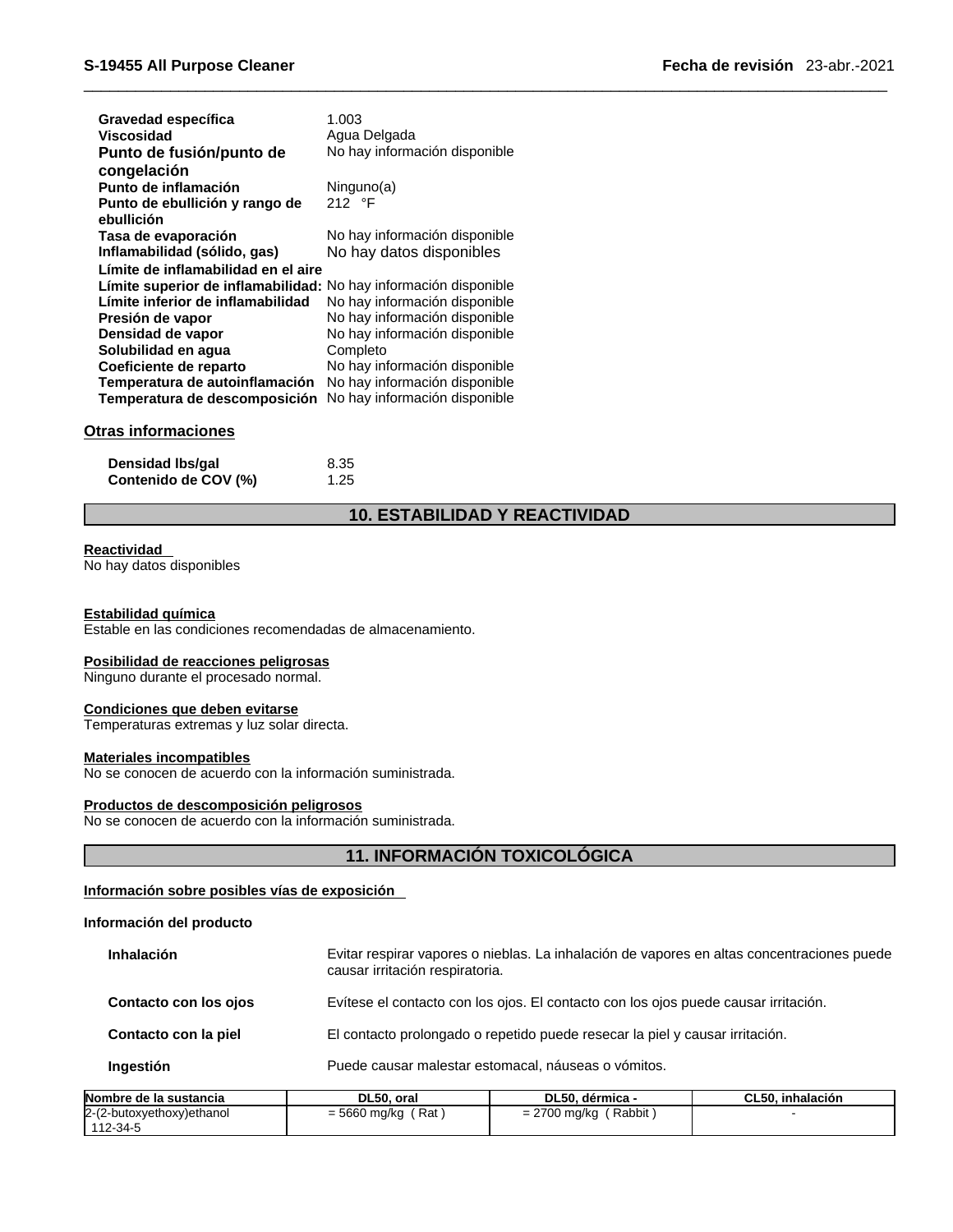| Gravedad específica<br><b>Viscosidad</b>                         | 1.003<br>Agua Delgada         |
|------------------------------------------------------------------|-------------------------------|
| Punto de fusión/punto de                                         | No hay información disponible |
| congelación                                                      |                               |
| Punto de inflamación                                             | Ninguno(a)                    |
| Punto de ebullición y rango de                                   | 212 °F                        |
| ebullición                                                       |                               |
| Tasa de evaporación                                              | No hay información disponible |
| Inflamabilidad (sólido, gas)                                     | No hay datos disponibles      |
| Límite de inflamabilidad en el aire                              |                               |
| Límite superior de inflamabilidad: No hay información disponible |                               |
| Límite inferior de inflamabilidad                                | No hay información disponible |
| Presión de vapor                                                 | No hay información disponible |
| Densidad de vapor                                                | No hay información disponible |
| Solubilidad en aqua                                              | Completo                      |
| Coeficiente de reparto                                           | No hay información disponible |
| Temperatura de autoinflamación                                   | No hay información disponible |
| Temperatura de descomposición                                    | No hay información disponible |

## **Otras informaciones**

**Densidad Ibs/gal** 8.35<br>**Contenido de COV (%)** 1.25 **Contenido de COV (%)** 

## **10. ESTABILIDAD Y REACTIVIDAD**

### **Reactividad**

No hay datos disponibles

### **Estabilidad química**

Estable en las condiciones recomendadas de almacenamiento.

### **Posibilidad de reacciones peligrosas**

Ninguno durante el procesado normal.

## **Condiciones que deben evitarse**

Temperaturas extremas y luz solar directa.

## **Materiales incompatibles**

No se conocen de acuerdo con la información suministrada.

## **Productos de descomposición peligrosos**

No se conocen de acuerdo con la información suministrada.

## **11. INFORMACIÓN TOXICOLÓGICA**

## **Información sobre posibles vías de exposición**

## **Información del producto**

| Puede causar malestar estomacal, náuseas o vómitos.<br>Ingestión                                                                                   |
|----------------------------------------------------------------------------------------------------------------------------------------------------|
|                                                                                                                                                    |
| El contacto prolongado o repetido puede resecar la piel y causar irritación.<br>Contacto con la piel                                               |
| Evítese el contacto con los ojos. El contacto con los ojos puede causar irritación.<br>Contacto con los ojos                                       |
| Evitar respirar vapores o nieblas. La inhalación de vapores en altas concentraciones puede<br><b>Inhalación</b><br>causar irritación respiratoria. |

| Nombre de la sustancia    | DL50, oral            | DL50. dérmica -                   | CL50. inhalación |  |
|---------------------------|-----------------------|-----------------------------------|------------------|--|
| 2-(2-butoxyethoxy)ethanol | $= 5660$ ma/ka<br>Rat | Rabbit<br>2700<br>2700 mg/kg<br>- |                  |  |
| 112-34-5                  |                       |                                   |                  |  |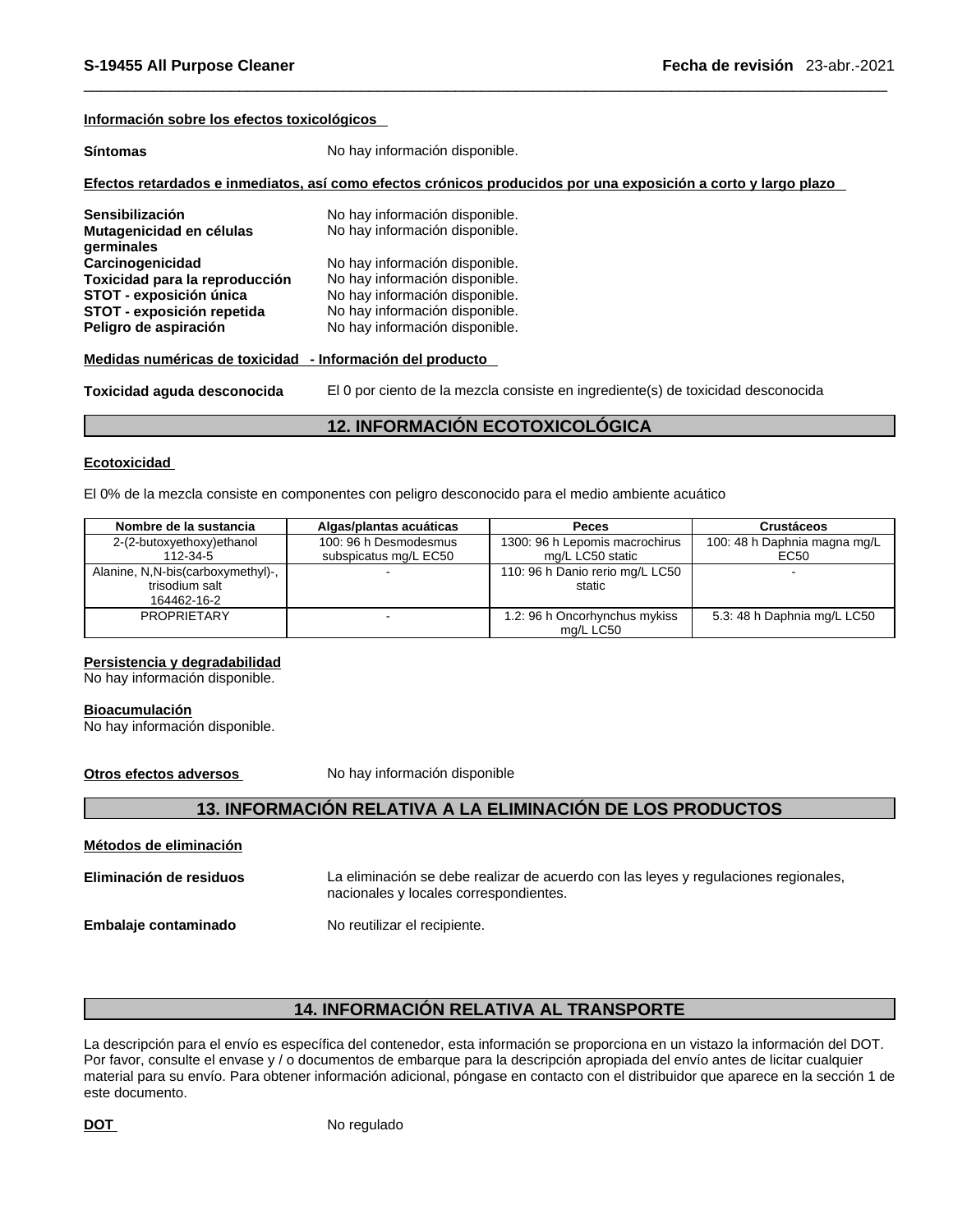## **Información sobre los efectos toxicológicos**

| <b>Síntomas</b> | No hay información disponible.                                                                                 |
|-----------------|----------------------------------------------------------------------------------------------------------------|
|                 | Efectos retardados e inmediatos, así como efectos crónicos producidos por una exposición a corto y largo plazo |

| Sensibilización<br>Mutagenicidad en células<br>germinales | No hay información disponible.<br>No hay información disponible. |
|-----------------------------------------------------------|------------------------------------------------------------------|
| Carcinogenicidad                                          | No hay información disponible.                                   |
| Toxicidad para la reproducción                            | No hay información disponible.                                   |
| STOT - exposición única                                   | No hay información disponible.                                   |
| STOT - exposición repetida                                | No hay información disponible.                                   |
| Peligro de aspiración                                     | No hay información disponible.                                   |

## **Medidas numéricas de toxicidad - Información del producto**

**Toxicidad aguda desconocida** El 0 por ciento de la mezcla consiste en ingrediente(s) de toxicidad desconocida

## **12. INFORMACIÓN ECOTOXICOLÓGICA**

## **Ecotoxicidad**

El 0% de la mezcla consiste en componentes con peligro desconocido para el medio ambiente acuático

| Nombre de la sustancia            | Algas/plantas acuáticas | <b>Peces</b>                    | <b>Crustáceos</b>            |
|-----------------------------------|-------------------------|---------------------------------|------------------------------|
| 2-(2-butoxyethoxy)ethanol         | 100: 96 h Desmodesmus   | 1300: 96 h Lepomis macrochirus  | 100: 48 h Daphnia magna mg/L |
| 112-34-5                          | subspicatus mg/L EC50   | mg/L LC50 static                | EC50                         |
| Alanine, N,N-bis(carboxymethyl)-, |                         | 110: 96 h Danio rerio mg/L LC50 |                              |
| trisodium salt                    |                         | static                          |                              |
| 164462-16-2                       |                         |                                 |                              |
| <b>PROPRIETARY</b>                |                         | 1.2: 96 h Oncorhynchus mykiss   | 5.3: 48 h Daphnia mg/L LC50  |
|                                   |                         | mg/L LC50                       |                              |

## **Persistencia y degradabilidad**

No hay información disponible.

### **Bioacumulación**

No hay información disponible.

**Otros efectos adversos** No hay información disponible

## **13. INFORMACIÓN RELATIVA A LA ELIMINACIÓN DE LOS PRODUCTOS**

| Métodos de eliminación  |                                                                                                                               |
|-------------------------|-------------------------------------------------------------------------------------------------------------------------------|
| Eliminación de residuos | La eliminación se debe realizar de acuerdo con las leyes y regulaciones regionales,<br>nacionales y locales correspondientes. |
| Embalaje contaminado    | No reutilizar el recipiente.                                                                                                  |

## **14. INFORMACIÓN RELATIVA AL TRANSPORTE**

La descripción para el envío es específica del contenedor, esta información se proporciona en un vistazo la información del DOT. Por favor, consulte el envase y / o documentos de embarque para la descripción apropiada del envío antes de licitar cualquier material para su envío. Para obtener información adicional, póngase en contacto con el distribuidor que aparece en la sección 1 de este documento.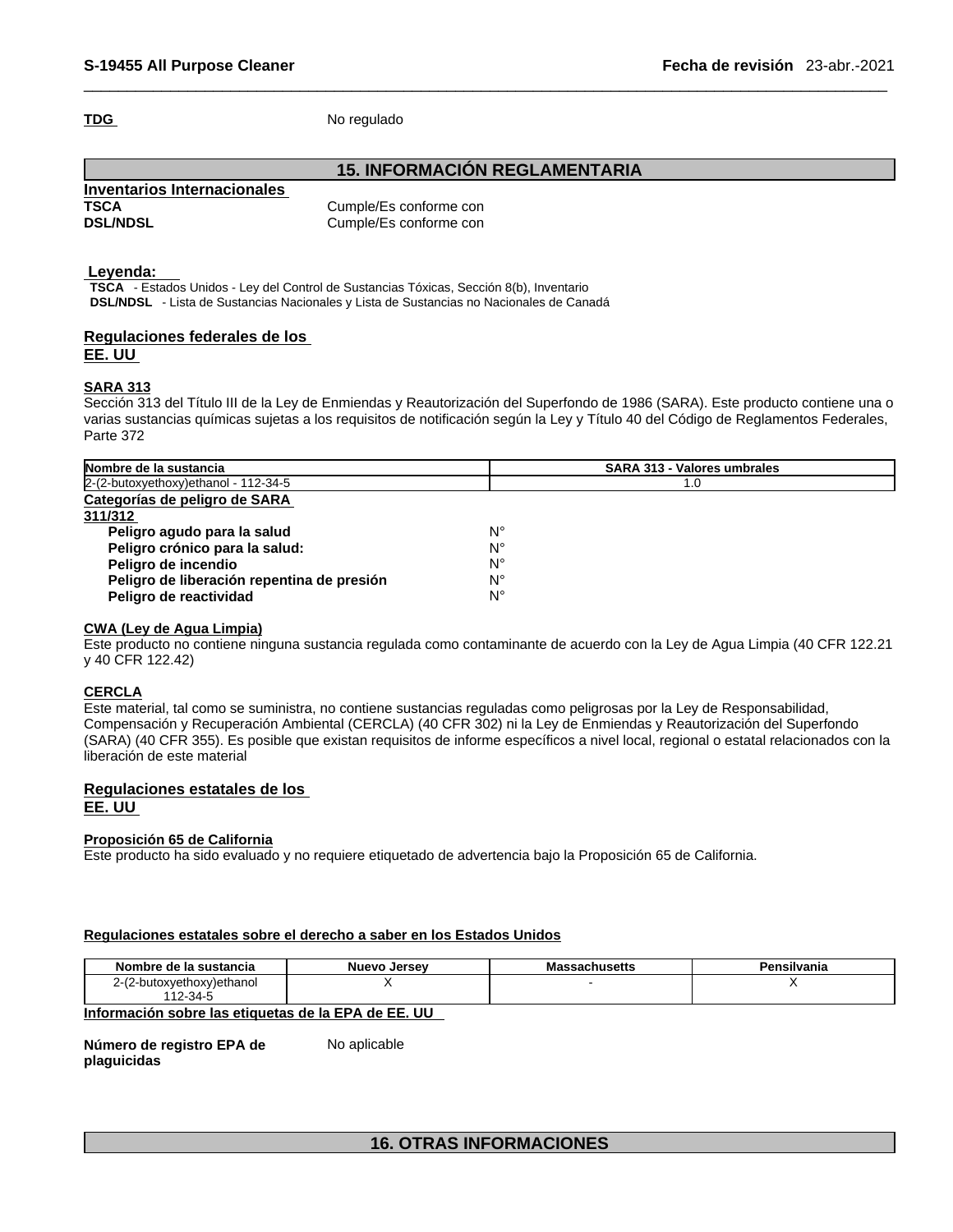TDG No regulado

## **15. INFORMACIÓN REGLAMENTARIA**

| Inventarios Internacionales |                   |
|-----------------------------|-------------------|
| <b>TSCA</b>                 | Cumple/Es conform |
| <b>DSL/NDSL</b>             | Cumple/Es conform |

Cumple/Es conforme con Cumple/Es conforme con

## **Leyenda:**

**TSCA** - Estados Unidos - Ley del Control de Sustancias Tóxicas, Sección 8(b), Inventario **DSL/NDSL** - Lista de Sustancias Nacionales y Lista de Sustancias no Nacionales de Canadá

## **Regulaciones federales de los EE. UU**

## **SARA 313**

Sección 313 del Título III de la Ley de Enmiendas y Reautorización del Superfondo de 1986 (SARA). Este producto contiene una o varias sustancias químicas sujetas a los requisitos de notificación según la Ley y Título 40 del Código de Reglamentos Federales, Parte 372

| Nombre de la sustancia                     | <b>SARA 313 - Valores umbrales</b> |
|--------------------------------------------|------------------------------------|
| 2-(2-butoxyethoxy) ethanol - 112-34-5      | 1.0                                |
| Categorías de peligro de SARA              |                                    |
| 311/312                                    |                                    |
| Peligro agudo para la salud                | N°                                 |
| Peligro crónico para la salud:             | N°                                 |
| Peligro de incendio                        | N°                                 |
| Peligro de liberación repentina de presión | N°                                 |
| Peligro de reactividad                     | N°                                 |

## **CWA (Ley de Agua Limpia)**

Este producto no contiene ninguna sustancia regulada como contaminante de acuerdo con la Ley de Agua Limpia (40 CFR 122.21 y 40 CFR 122.42)

## **CERCLA**

Este material, tal como se suministra, no contiene sustancias reguladas como peligrosas por la Ley de Responsabilidad, Compensación y Recuperación Ambiental (CERCLA) (40 CFR 302) ni la Ley de Enmiendas y Reautorización del Superfondo (SARA) (40 CFR 355). Es posible que existan requisitos de informe específicos a nivel local, regional o estatal relacionados con la liberación de este material

## **Regulaciones estatales de los EE. UU**

**Proposición 65 de California** Este producto ha sido evaluado y no requiere etiquetado de advertencia bajo la Proposición 65 de California.

## **Regulaciones estatales sobre el derecho a saber en los Estados Unidos**

No aplicable

| Nombre de la sustancia          | Nuevo Jersev | <b>Massachusetts</b> | $- -$<br>Pensilvania |
|---------------------------------|--------------|----------------------|----------------------|
| -butoxyethoxy)ethanol<br>27 L Z |              |                      |                      |
| $112 - 34 - 5$                  |              |                      |                      |

## **Información sobre las etiquetas de la EPA de EE. UU**

**Número de registro EPA de plaguicidas** 

**16. OTRAS INFORMACIONES**